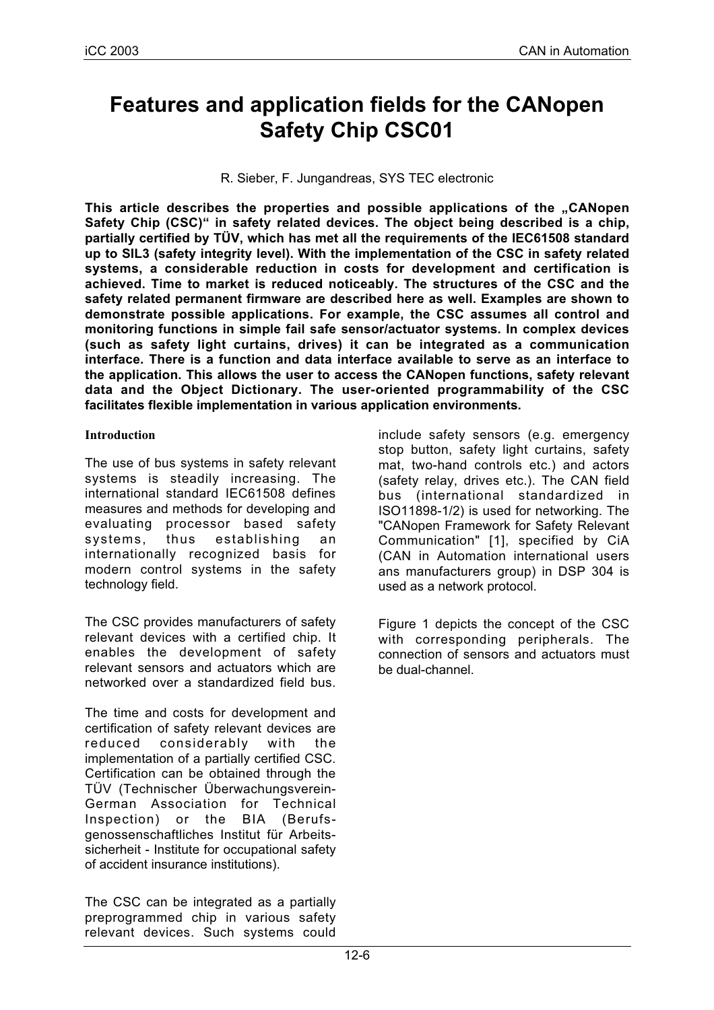# **Features and application fields for the CANopen Safety Chip CSC01**

R. Sieber, F. Jungandreas, SYS TEC electronic

**This article describes the properties and possible applications of the "CANopen Safety Chip (CSC)" in safety related devices. The object being described is a chip, partially certified by TÜV, which has met all the requirements of the IEC61508 standard up to SIL3 (safety integrity level). With the implementation of the CSC in safety related systems, a considerable reduction in costs for development and certification is achieved. Time to market is reduced noticeably. The structures of the CSC and the safety related permanent firmware are described here as well. Examples are shown to demonstrate possible applications. For example, the CSC assumes all control and monitoring functions in simple fail safe sensor/actuator systems. In complex devices (such as safety light curtains, drives) it can be integrated as a communication interface. There is a function and data interface available to serve as an interface to the application. This allows the user to access the CANopen functions, safety relevant data and the Object Dictionary. The user-oriented programmability of the CSC facilitates flexible implementation in various application environments.**

#### **Introduction**

The use of bus systems in safety relevant systems is steadily increasing. The international standard IEC61508 defines measures and methods for developing and evaluating processor based safety systems, thus establishing an internationally recognized basis for modern control systems in the safety technology field.

The CSC provides manufacturers of safety relevant devices with a certified chip. It enables the development of safety relevant sensors and actuators which are networked over a standardized field bus.

The time and costs for development and certification of safety relevant devices are reduced considerably with the implementation of a partially certified CSC. Certification can be obtained through the TÜV (Technischer Überwachungsverein-German Association for Technical Inspection) or the BIA (Berufsgenossenschaftliches Institut für Arbeitssicherheit - Institute for occupational safety of accident insurance institutions).

The CSC can be integrated as a partially preprogrammed chip in various safety relevant devices. Such systems could

include safety sensors (e.g. emergency stop button, safety light curtains, safety mat, two-hand controls etc.) and actors (safety relay, drives etc.). The CAN field bus (international standardized in ISO11898-1/2) is used for networking. The "CANopen Framework for Safety Relevant Communication" [1], specified by CiA (CAN in Automation international users ans manufacturers group) in DSP 304 is used as a network protocol.

Figure 1 depicts the concept of the CSC with corresponding peripherals. The connection of sensors and actuators must be dual-channel.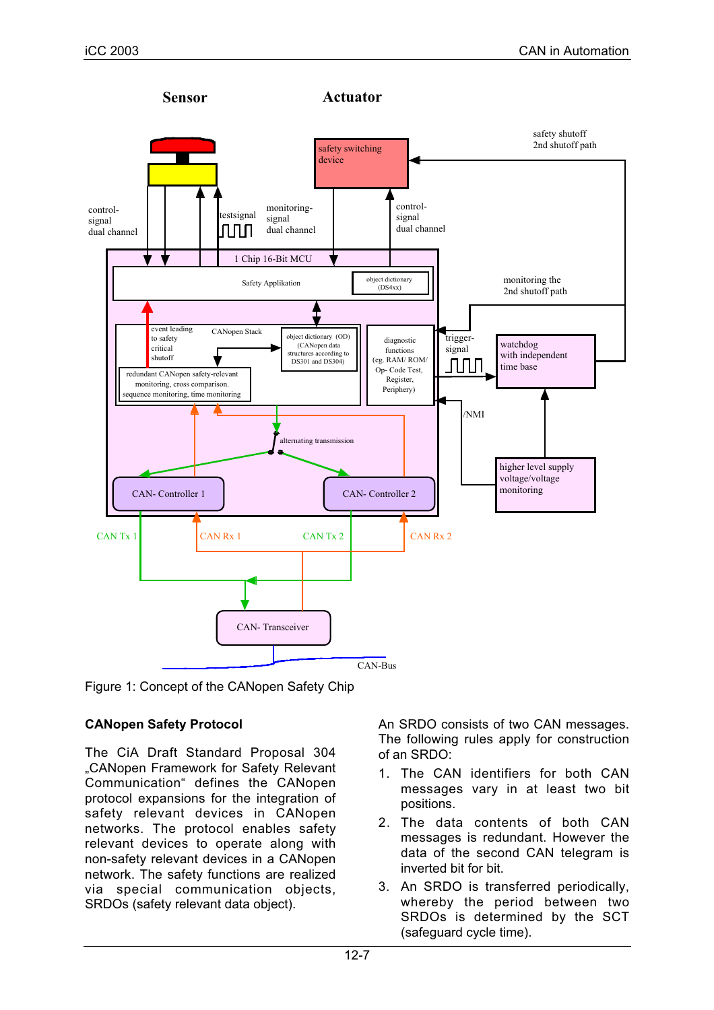



# **CANopen Safety Protocol**

The CiA Draft Standard Proposal 304 "CANopen Framework for Safety Relevant Communication" defines the CANopen protocol expansions for the integration of safety relevant devices in CANopen networks. The protocol enables safety relevant devices to operate along with non-safety relevant devices in a CANopen network. The safety functions are realized via special communication objects, SRDOs (safety relevant data object).

An SRDO consists of two CAN messages. The following rules apply for construction of an SRDO:

- 1. The CAN identifiers for both CAN messages vary in at least two bit positions.
- 2. The data contents of both CAN messages is redundant. However the data of the second CAN telegram is inverted bit for bit.
- 3. An SRDO is transferred periodically, whereby the period between two SRDOs is determined by the SCT (safeguard cycle time).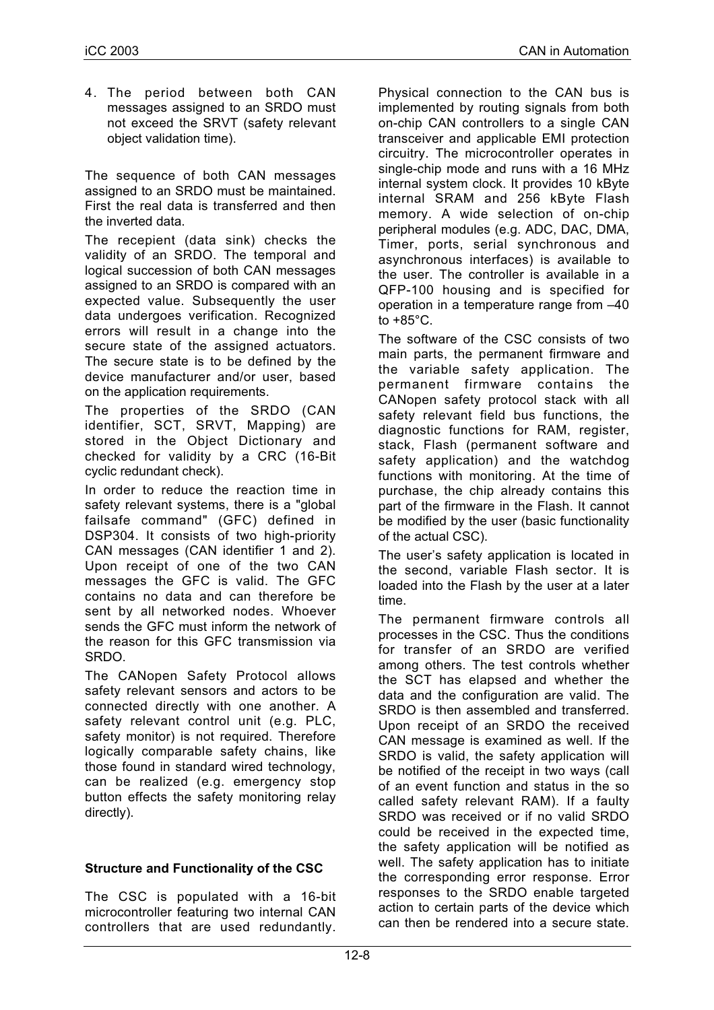4. The period between both CAN messages assigned to an SRDO must not exceed the SRVT (safety relevant object validation time).

The sequence of both CAN messages assigned to an SRDO must be maintained. First the real data is transferred and then the inverted data.

The recepient (data sink) checks the validity of an SRDO. The temporal and logical succession of both CAN messages assigned to an SRDO is compared with an expected value. Subsequently the user data undergoes verification. Recognized errors will result in a change into the secure state of the assigned actuators. The secure state is to be defined by the device manufacturer and/or user, based on the application requirements.

The properties of the SRDO (CAN identifier, SCT, SRVT, Mapping) are stored in the Object Dictionary and checked for validity by a CRC (16-Bit cyclic redundant check).

In order to reduce the reaction time in safety relevant systems, there is a "global failsafe command" (GFC) defined in DSP304. It consists of two high-priority CAN messages (CAN identifier 1 and 2). Upon receipt of one of the two CAN messages the GFC is valid. The GFC contains no data and can therefore be sent by all networked nodes. Whoever sends the GFC must inform the network of the reason for this GFC transmission via SRDO.

The CANopen Safety Protocol allows safety relevant sensors and actors to be connected directly with one another. A safety relevant control unit (e.g. PLC, safety monitor) is not required. Therefore logically comparable safety chains, like those found in standard wired technology, can be realized (e.g. emergency stop button effects the safety monitoring relay directly).

# **Structure and Functionality of the CSC**

The CSC is populated with a 16-bit microcontroller featuring two internal CAN controllers that are used redundantly.

Physical connection to the CAN bus is implemented by routing signals from both on-chip CAN controllers to a single CAN transceiver and applicable EMI protection circuitry. The microcontroller operates in single-chip mode and runs with a 16 MHz internal system clock. It provides 10 kByte internal SRAM and 256 kByte Flash memory. A wide selection of on-chip peripheral modules (e.g. ADC, DAC, DMA, Timer, ports, serial synchronous and asynchronous interfaces) is available to the user. The controller is available in a QFP-100 housing and is specified for operation in a temperature range from –40 to  $+85^{\circ}$ C.

The software of the CSC consists of two main parts, the permanent firmware and the variable safety application. The permanent firmware contains the CANopen safety protocol stack with all safety relevant field bus functions, the diagnostic functions for RAM, register, stack, Flash (permanent software and safety application) and the watchdog functions with monitoring. At the time of purchase, the chip already contains this part of the firmware in the Flash. It cannot be modified by the user (basic functionality of the actual CSC).

The user's safety application is located in the second, variable Flash sector. It is loaded into the Flash by the user at a later time.

The permanent firmware controls all processes in the CSC. Thus the conditions for transfer of an SRDO are verified among others. The test controls whether the SCT has elapsed and whether the data and the configuration are valid. The SRDO is then assembled and transferred. Upon receipt of an SRDO the received CAN message is examined as well. If the SRDO is valid, the safety application will be notified of the receipt in two ways (call of an event function and status in the so called safety relevant RAM). If a faulty SRDO was received or if no valid SRDO could be received in the expected time, the safety application will be notified as well. The safety application has to initiate the corresponding error response. Error responses to the SRDO enable targeted action to certain parts of the device which can then be rendered into a secure state.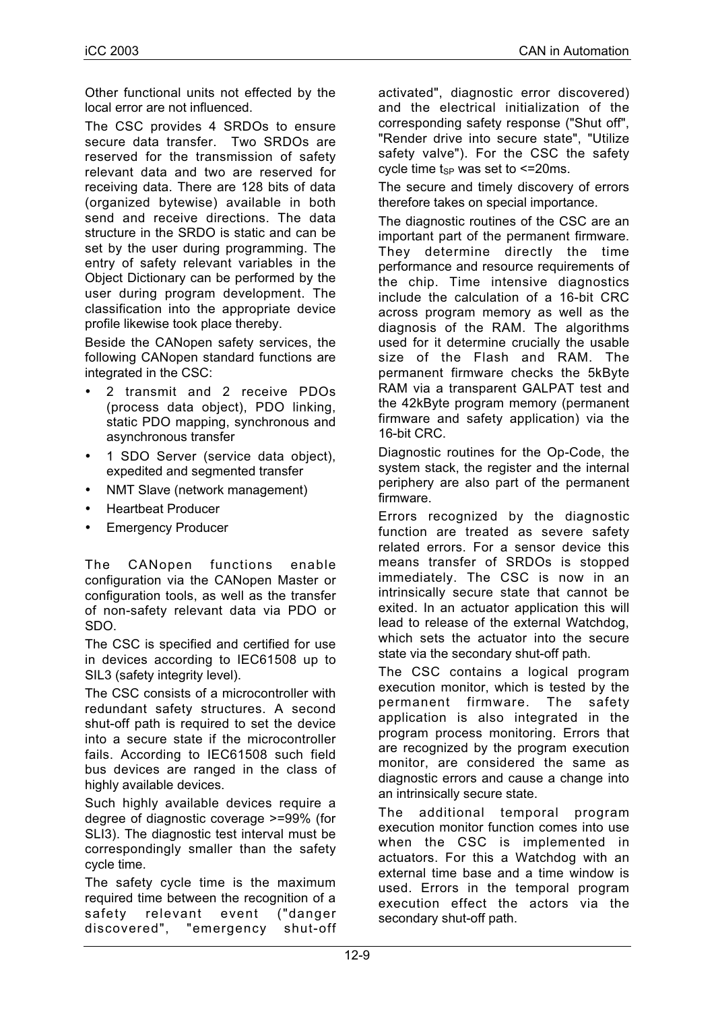Other functional units not effected by the local error are not influenced.

The CSC provides 4 SRDOs to ensure secure data transfer. Two SRDOs are reserved for the transmission of safety relevant data and two are reserved for receiving data. There are 128 bits of data (organized bytewise) available in both send and receive directions. The data structure in the SRDO is static and can be set by the user during programming. The entry of safety relevant variables in the Object Dictionary can be performed by the user during program development. The classification into the appropriate device profile likewise took place thereby.

Beside the CANopen safety services, the following CANopen standard functions are integrated in the CSC:

- 2 transmit and 2 receive PDOs (process data object), PDO linking, static PDO mapping, synchronous and asynchronous transfer
- 1 SDO Server (service data object), expedited and segmented transfer
- NMT Slave (network management)
- Heartbeat Producer
- Emergency Producer

The CANopen functions enable configuration via the CANopen Master or configuration tools, as well as the transfer of non-safety relevant data via PDO or SDO.

The CSC is specified and certified for use in devices according to IEC61508 up to SIL3 (safety integrity level).

The CSC consists of a microcontroller with redundant safety structures. A second shut-off path is required to set the device into a secure state if the microcontroller fails. According to IEC61508 such field bus devices are ranged in the class of highly available devices.

Such highly available devices require a degree of diagnostic coverage >=99% (for SLI3). The diagnostic test interval must be correspondingly smaller than the safety cycle time.

The safety cycle time is the maximum required time between the recognition of a safety relevant event ("danger discovered", "emergency shut-off activated", diagnostic error discovered) and the electrical initialization of the corresponding safety response ("Shut off", "Render drive into secure state", "Utilize safety valve"). For the CSC the safety cycle time  $t_{SP}$  was set to  $\leq$  20ms.

The secure and timely discovery of errors therefore takes on special importance.

The diagnostic routines of the CSC are an important part of the permanent firmware. They determine directly the time performance and resource requirements of the chip. Time intensive diagnostics include the calculation of a 16-bit CRC across program memory as well as the diagnosis of the RAM. The algorithms used for it determine crucially the usable size of the Flash and RAM. The permanent firmware checks the 5kByte RAM via a transparent GALPAT test and the 42kByte program memory (permanent firmware and safety application) via the 16-bit CRC.

Diagnostic routines for the Op-Code, the system stack, the register and the internal periphery are also part of the permanent firmware.

Errors recognized by the diagnostic function are treated as severe safety related errors. For a sensor device this means transfer of SRDOs is stopped immediately. The CSC is now in an intrinsically secure state that cannot be exited. In an actuator application this will lead to release of the external Watchdog, which sets the actuator into the secure state via the secondary shut-off path.

The CSC contains a logical program execution monitor, which is tested by the permanent firmware. The safety application is also integrated in the program process monitoring. Errors that are recognized by the program execution monitor, are considered the same as diagnostic errors and cause a change into an intrinsically secure state.

The additional temporal program execution monitor function comes into use when the CSC is implemented in actuators. For this a Watchdog with an external time base and a time window is used. Errors in the temporal program execution effect the actors via the secondary shut-off path.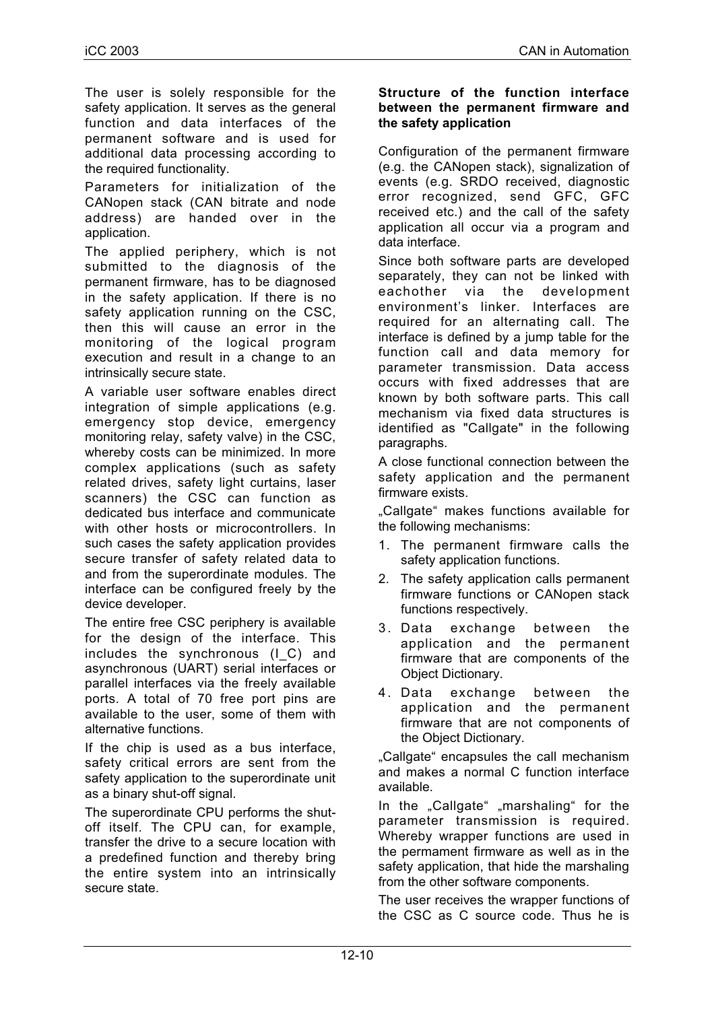The user is solely responsible for the safety application. It serves as the general function and data interfaces of the permanent software and is used for additional data processing according to the required functionality.

Parameters for initialization of the CANopen stack (CAN bitrate and node address) are handed over in the application.

The applied periphery, which is not submitted to the diagnosis of the permanent firmware, has to be diagnosed in the safety application. If there is no safety application running on the CSC, then this will cause an error in the monitoring of the logical program execution and result in a change to an intrinsically secure state.

A variable user software enables direct integration of simple applications (e.g. emergency stop device, emergency monitoring relay, safety valve) in the CSC, whereby costs can be minimized. In more complex applications (such as safety related drives, safety light curtains, laser scanners) the CSC can function as dedicated bus interface and communicate with other hosts or microcontrollers. In such cases the safety application provides secure transfer of safety related data to and from the superordinate modules. The interface can be configured freely by the device developer.

The entire free CSC periphery is available for the design of the interface. This includes the synchronous (I\_C) and asynchronous (UART) serial interfaces or parallel interfaces via the freely available ports. A total of 70 free port pins are available to the user, some of them with alternative functions.

If the chip is used as a bus interface, safety critical errors are sent from the safety application to the superordinate unit as a binary shut-off signal.

The superordinate CPU performs the shutoff itself. The CPU can, for example, transfer the drive to a secure location with a predefined function and thereby bring the entire system into an intrinsically secure state.

#### **Structure of the function interface between the permanent firmware and the safety application**

Configuration of the permanent firmware (e.g. the CANopen stack), signalization of events (e.g. SRDO received, diagnostic error recognized, send GFC, GFC received etc.) and the call of the safety application all occur via a program and data interface.

Since both software parts are developed separately, they can not be linked with eachother via the development environment's linker. Interfaces are required for an alternating call. The interface is defined by a jump table for the function call and data memory for parameter transmission. Data access occurs with fixed addresses that are known by both software parts. This call mechanism via fixed data structures is identified as "Callgate" in the following paragraphs.

A close functional connection between the safety application and the permanent firmware exists.

"Callgate" makes functions available for the following mechanisms:

- 1. The permanent firmware calls the safety application functions.
- 2. The safety application calls permanent firmware functions or CANopen stack functions respectively.
- 3. Data exchange between the application and the permanent firmware that are components of the Object Dictionary.
- 4. Data exchange between the application and the permanent firmware that are not components of the Object Dictionary.

"Callgate" encapsules the call mechanism and makes a normal C function interface available.

In the "Callgate" "marshaling" for the parameter transmission is required. Whereby wrapper functions are used in the permament firmware as well as in the safety application, that hide the marshaling from the other software components.

The user receives the wrapper functions of the CSC as C source code. Thus he is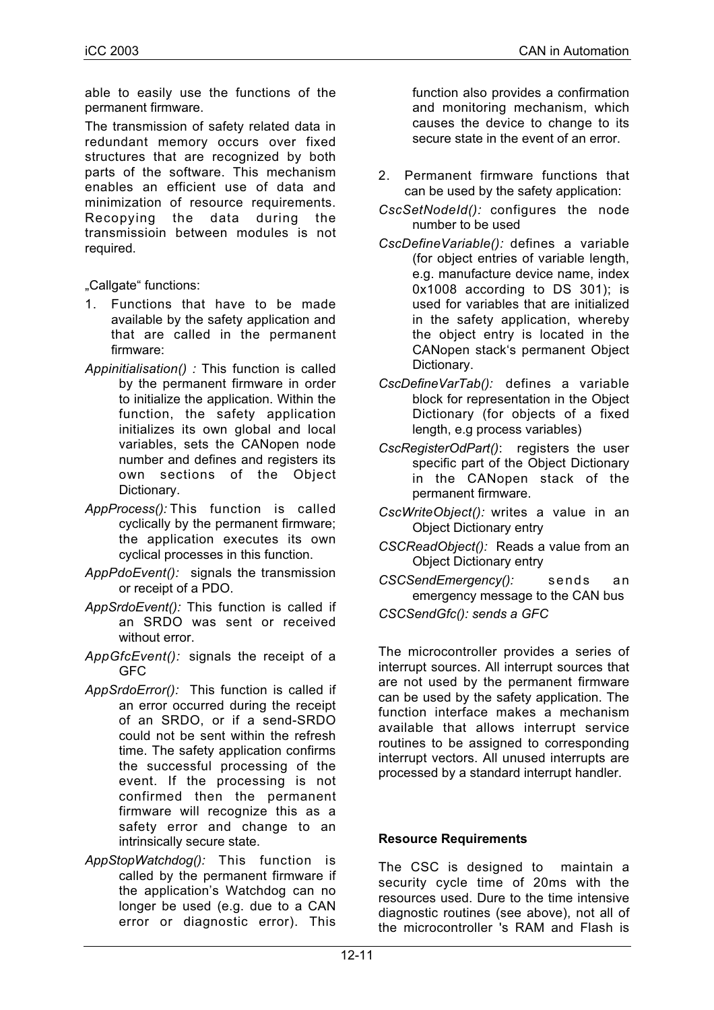able to easily use the functions of the permanent firmware.

The transmission of safety related data in redundant memory occurs over fixed structures that are recognized by both parts of the software. This mechanism enables an efficient use of data and minimization of resource requirements. Recopying the data during the transmissioin between modules is not required.

"Callgate" functions:

- 1. Functions that have to be made available by the safety application and that are called in the permanent firmware:
- *Appinitialisation() :* This function is called by the permanent firmware in order to initialize the application. Within the function, the safety application initializes its own global and local variables, sets the CANopen node number and defines and registers its own sections of the Object Dictionary.
- *AppProcess():* This function is called cyclically by the permanent firmware; the application executes its own cyclical processes in this function.
- *AppPdoEvent():* signals the transmission or receipt of a PDO.
- *AppSrdoEvent():* This function is called if an SRDO was sent or received without error.
- *AppGfcEvent():* signals the receipt of a GFC
- *AppSrdoError():* This function is called if an error occurred during the receipt of an SRDO, or if a send-SRDO could not be sent within the refresh time. The safety application confirms the successful processing of the event. If the processing is not confirmed then the permanent firmware will recognize this as a safety error and change to an intrinsically secure state.
- *AppStopWatchdog():* This function is called by the permanent firmware if the application's Watchdog can no longer be used (e.g. due to a CAN error or diagnostic error). This

function also provides a confirmation and monitoring mechanism, which causes the device to change to its secure state in the event of an error.

- 2. Permanent firmware functions that can be used by the safety application:
- *CscSetNodeId():* configures the node number to be used
- *CscDefineVariable():* defines a variable (for object entries of variable length, e.g. manufacture device name, index 0x1008 according to DS 301); is used for variables that are initialized in the safety application, whereby the object entry is located in the CANopen stack's permanent Object Dictionary.
- *CscDefineVarTab():* defines a variable block for representation in the Object Dictionary (for objects of a fixed length, e.g process variables)
- *CscRegisterOdPart()*: registers the user specific part of the Object Dictionary in the CANopen stack of the permanent firmware.
- *CscWriteObject():* writes a value in an Object Dictionary entry
- *CSCReadObject():* Reads a value from an Object Dictionary entry
- *CSCSendEmergency():* sends an emergency message to the CAN bus

*CSCSendGfc(): sends a GFC*

The microcontroller provides a series of interrupt sources. All interrupt sources that are not used by the permanent firmware can be used by the safety application. The function interface makes a mechanism available that allows interrupt service routines to be assigned to corresponding interrupt vectors. All unused interrupts are processed by a standard interrupt handler.

#### **Resource Requirements**

The CSC is designed to maintain a security cycle time of 20ms with the resources used. Dure to the time intensive diagnostic routines (see above), not all of the microcontroller 's RAM and Flash is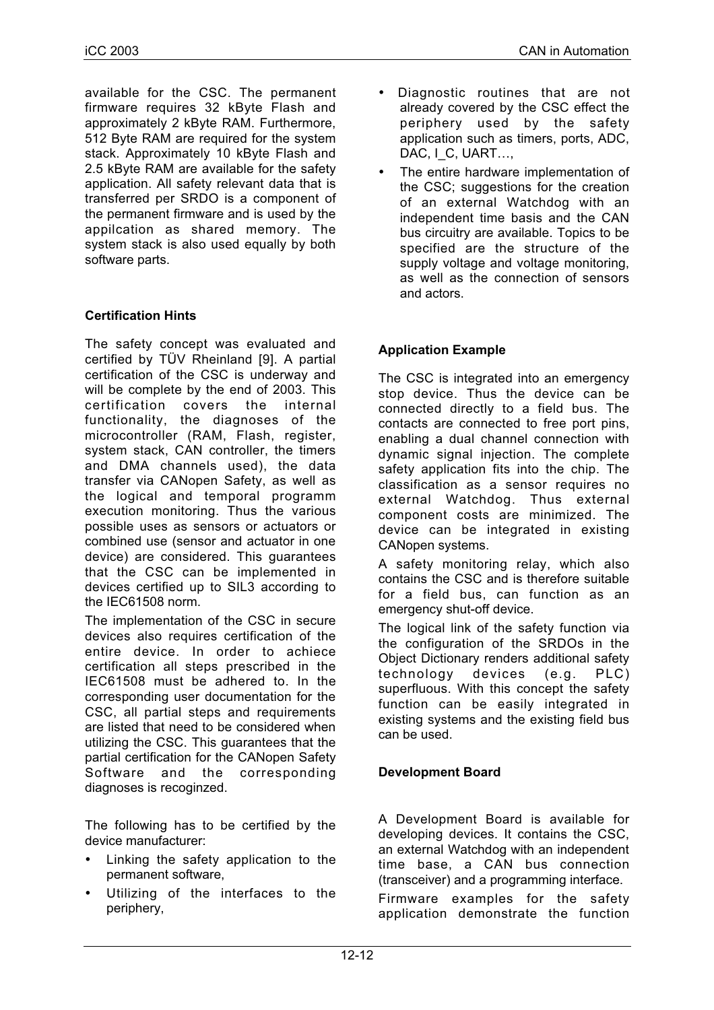available for the CSC. The permanent firmware requires 32 kByte Flash and approximately 2 kByte RAM. Furthermore, 512 Byte RAM are required for the system stack. Approximately 10 kByte Flash and 2.5 kByte RAM are available for the safety application. All safety relevant data that is transferred per SRDO is a component of the permanent firmware and is used by the appilcation as shared memory. The system stack is also used equally by both software parts.

## **Certification Hints**

The safety concept was evaluated and certified by TÜV Rheinland [9]. A partial certification of the CSC is underway and will be complete by the end of 2003. This certification covers the internal functionality, the diagnoses of the microcontroller (RAM, Flash, register, system stack, CAN controller, the timers and DMA channels used), the data transfer via CANopen Safety, as well as the logical and temporal programm execution monitoring. Thus the various possible uses as sensors or actuators or combined use (sensor and actuator in one device) are considered. This guarantees that the CSC can be implemented in devices certified up to SIL3 according to the IEC61508 norm.

The implementation of the CSC in secure devices also requires certification of the entire device. In order to achiece certification all steps prescribed in the IEC61508 must be adhered to. In the corresponding user documentation for the CSC, all partial steps and requirements are listed that need to be considered when utilizing the CSC. This guarantees that the partial certification for the CANopen Safety Software and the corresponding diagnoses is recoginzed.

The following has to be certified by the device manufacturer:

- Linking the safety application to the permanent software,
- Utilizing of the interfaces to the periphery,
- Diagnostic routines that are not already covered by the CSC effect the periphery used by the safety application such as timers, ports, ADC, DAC, I\_C, UART…,
- The entire hardware implementation of the CSC; suggestions for the creation of an external Watchdog with an independent time basis and the CAN bus circuitry are available. Topics to be specified are the structure of the supply voltage and voltage monitoring, as well as the connection of sensors and actors.

## **Application Example**

The CSC is integrated into an emergency stop device. Thus the device can be connected directly to a field bus. The contacts are connected to free port pins, enabling a dual channel connection with dynamic signal injection. The complete safety application fits into the chip. The classification as a sensor requires no external Watchdog. Thus external component costs are minimized. The device can be integrated in existing CANopen systems.

A safety monitoring relay, which also contains the CSC and is therefore suitable for a field bus, can function as an emergency shut-off device.

The logical link of the safety function via the configuration of the SRDOs in the Object Dictionary renders additional safety technology devices (e.g. PLC) superfluous. With this concept the safety function can be easily integrated in existing systems and the existing field bus can be used.

#### **Development Board**

A Development Board is available for developing devices. It contains the CSC, an external Watchdog with an independent time base, a CAN bus connection (transceiver) and a programming interface.

Firmware examples for the safety application demonstrate the function